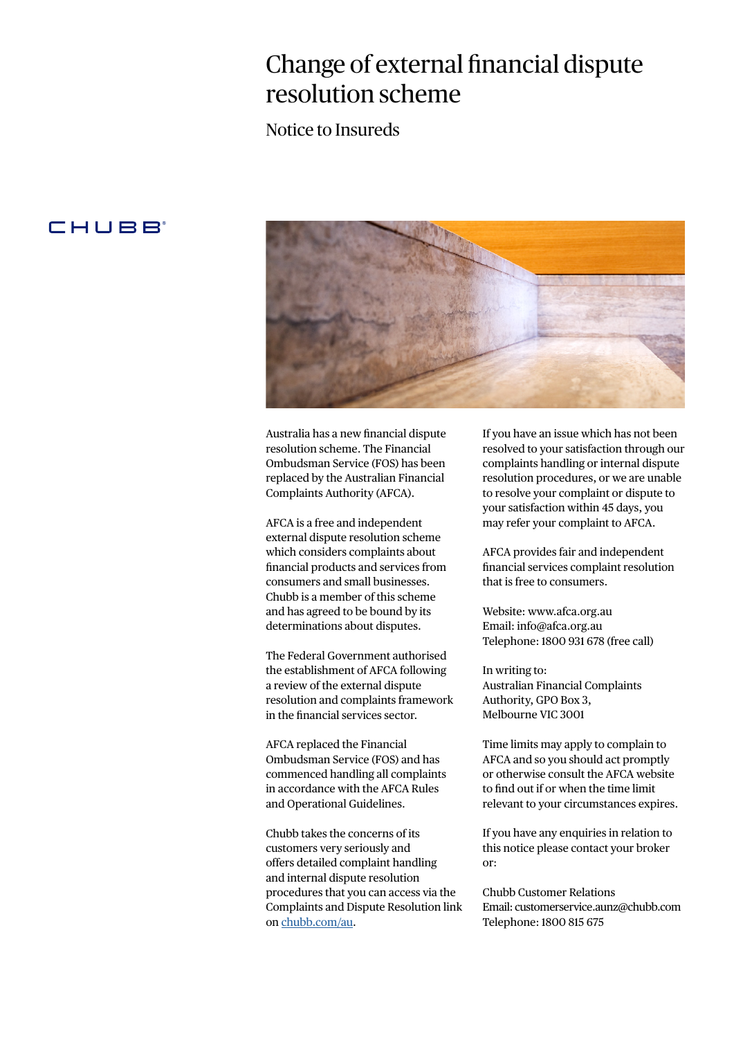## Change of external financial dispute resolution scheme

Notice to Insureds

### **CHUBB**



Australia has a new financial dispute resolution scheme. The Financial Ombudsman Service (FOS) has been replaced by the Australian Financial Complaints Authority (AFCA).

AFCA is a free and independent external dispute resolution scheme which considers complaints about financial products and services from consumers and small businesses. Chubb is a member of this scheme and has agreed to be bound by its determinations about disputes.

The Federal Government authorised the establishment of AFCA following a review of the external dispute resolution and complaints framework in the financial services sector.

AFCA replaced the Financial Ombudsman Service (FOS) and has commenced handling all complaints in accordance with the AFCA Rules and Operational Guidelines.

Chubb takes the concerns of its customers very seriously and offers detailed complaint handling and internal dispute resolution procedures that you can access via the Complaints and Dispute Resolution link on [chubb.com/au](https://www.chubb.com/au-en/customer-service/complaints-dispute-resolution.aspx).

If you have an issue which has not been resolved to your satisfaction through our complaints handling or internal dispute resolution procedures, or we are unable to resolve your complaint or dispute to your satisfaction within 45 days, you may refer your complaint to AFCA.

AFCA provides fair and independent financial services complaint resolution that is free to consumers.

Website: www.afca.org.au Email: info@afca.org.au Telephone: 1800 931 678 (free call)

In writing to: Australian Financial Complaints Authority, GPO Box 3, Melbourne VIC 3001

Time limits may apply to complain to AFCA and so you should act promptly or otherwise consult the AFCA website to find out if or when the time limit relevant to your circumstances expires.

If you have any enquiries in relation to this notice please contact your broker or:

Chubb Customer Relations Email: customerservice.aunz@chubb.com Telephone: 1800 815 675